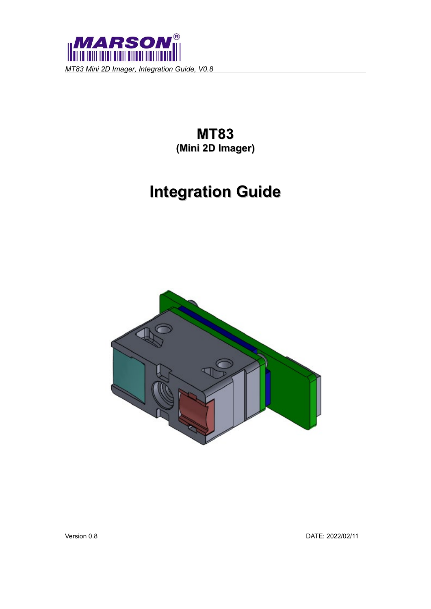

**MT83 (Mini 2D Imager)**

# **Integration Guide**



Version 0.8 DATE: 2022/02/11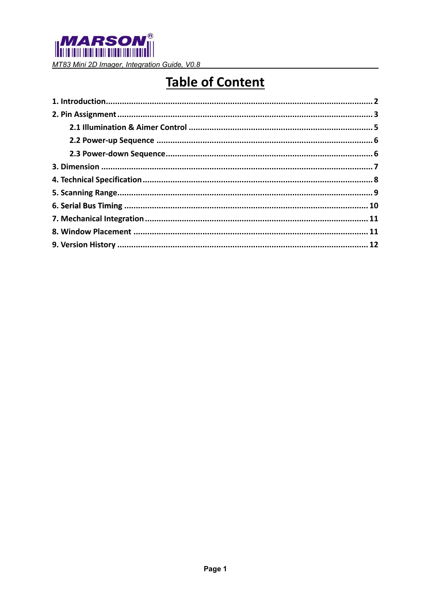

# **Table of Content**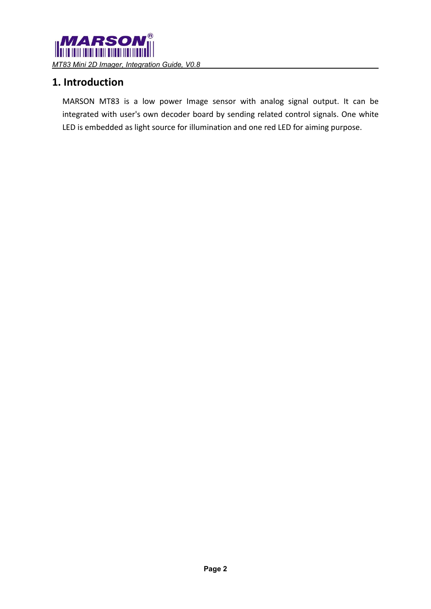

### <span id="page-2-0"></span>**1. Introduction**

MARSON MT83 is a low power Image sensor with analog signal output. It can be integrated with user's own decoder board by sending related control signals. One white LED is embedded as light source for illumination and one red LED for aiming purpose.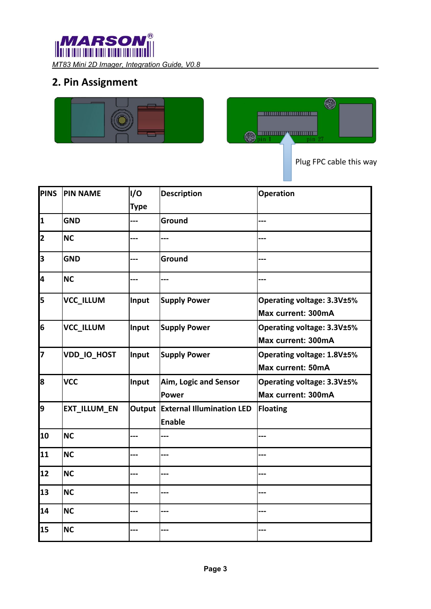

## <span id="page-3-0"></span>**2. Pin Assignment**





Plug FPC cable this way

| <b>PINS</b>  | <b>PIN NAME</b>     | I/O<br><b>Type</b> | <b>Description</b>                                | <b>Operation</b>                                        |
|--------------|---------------------|--------------------|---------------------------------------------------|---------------------------------------------------------|
| $\mathbf{1}$ | <b>GND</b>          |                    | Ground                                            | ---                                                     |
| 2            | <b>NC</b>           | ---                | ---                                               | ---                                                     |
| 3            | <b>GND</b>          |                    | Ground                                            | ---                                                     |
| 4            | <b>NC</b>           |                    |                                                   |                                                         |
| 5            | <b>VCC_ILLUM</b>    | Input              | <b>Supply Power</b>                               | Operating voltage: 3.3V±5%<br><b>Max current: 300mA</b> |
| 6            | VCC_ILLUM           | Input              | <b>Supply Power</b>                               | Operating voltage: 3.3V±5%<br>Max current: 300mA        |
| 7            | VDD_IO_HOST         | Input              | <b>Supply Power</b>                               | Operating voltage: 1.8V±5%<br><b>Max current: 50mA</b>  |
| 8            | <b>VCC</b>          | Input              | Aim, Logic and Sensor<br>Power                    | Operating voltage: 3.3V±5%<br>Max current: 300mA        |
| 9            | <b>EXT_ILLUM_EN</b> |                    | Output External Illumination LED<br><b>Enable</b> | Floating                                                |
| 10           | <b>NC</b>           |                    |                                                   |                                                         |
| 11           | <b>NC</b>           |                    |                                                   |                                                         |
| 12           | <b>NC</b>           |                    | ---                                               |                                                         |
| 13           | <b>NC</b>           |                    |                                                   |                                                         |
| 14           | <b>NC</b>           |                    | ---                                               |                                                         |
| 15           | <b>NC</b>           |                    |                                                   |                                                         |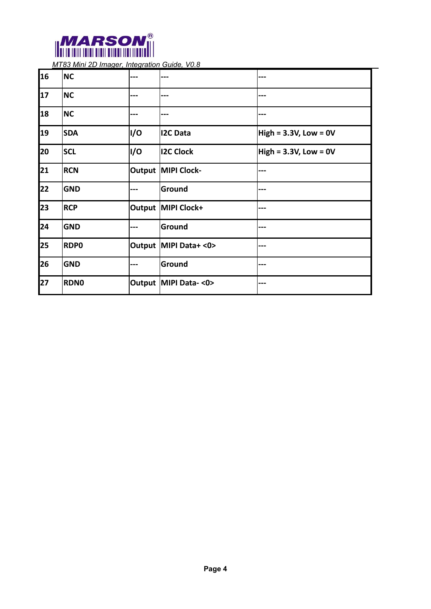

| 16 | <b>NC</b>   |     |                        |                            |
|----|-------------|-----|------------------------|----------------------------|
| 17 | <b>NC</b>   |     | ---                    |                            |
| 18 | <b>NC</b>   |     |                        |                            |
| 19 | <b>SDA</b>  | I/O | <b>I2C Data</b>        | High = $3.3V$ , Low = $0V$ |
| 20 | <b>SCL</b>  | I/O | <b>I2C Clock</b>       | High = $3.3V$ , Low = $0V$ |
| 21 | <b>RCN</b>  |     | Output MIPI Clock-     |                            |
| 22 | <b>GND</b>  |     | Ground                 | ---                        |
| 23 | <b>RCP</b>  |     | Output MIPI Clock+     |                            |
| 24 | <b>GND</b>  |     | Ground                 |                            |
| 25 | <b>RDPO</b> |     | Output MIPI Data+ <0>  | ---                        |
| 26 | <b>GND</b>  |     | Ground                 |                            |
| 27 | <b>RDNO</b> |     | Output   MIPI Data-<0> |                            |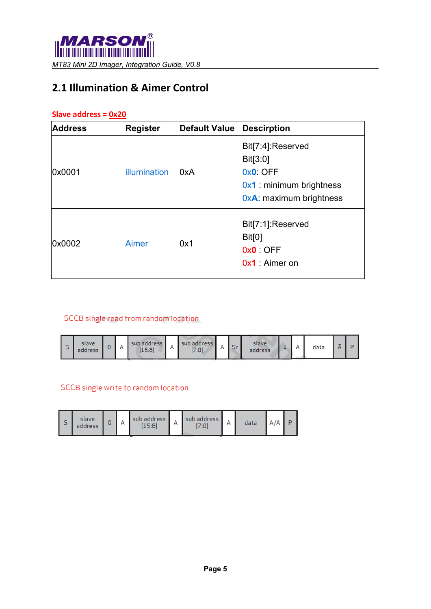## <span id="page-5-0"></span>**2.1 Illumination & Aimer Control**

#### **Slave address = 0x20**

| <b>Address</b> | <b>Register</b> | <b>Default Value</b> | <b>Descirption</b>                                                                                    |
|----------------|-----------------|----------------------|-------------------------------------------------------------------------------------------------------|
| 0x0001         | illumination    | 0xA                  | Bit[7:4]:Reserved<br>Bit[3:0]<br>0x0: OFF<br>$0x1$ : minimum brightness<br>$0xA$ : maximum brightness |
| 0x0002         | <b>Aimer</b>    | 0x1                  | Bit[7:1]:Reserved<br>Bit[0]<br>0x0 OFF<br>$0x1$ : Aimer on                                            |

#### SCCB single read from random location

| ັ | slave<br>address | ັ |  | sub address<br>15:8 | ~ | 7:0 |  |  | slave.<br>address | - |  | data | $-$ |  |
|---|------------------|---|--|---------------------|---|-----|--|--|-------------------|---|--|------|-----|--|
|---|------------------|---|--|---------------------|---|-----|--|--|-------------------|---|--|------|-----|--|

#### SCCB single write to random location

| ت | slave<br>address | ບ |  | sub address<br>ς.Ω | r | sub address<br>7:01 |  | data |  |  |
|---|------------------|---|--|--------------------|---|---------------------|--|------|--|--|
|---|------------------|---|--|--------------------|---|---------------------|--|------|--|--|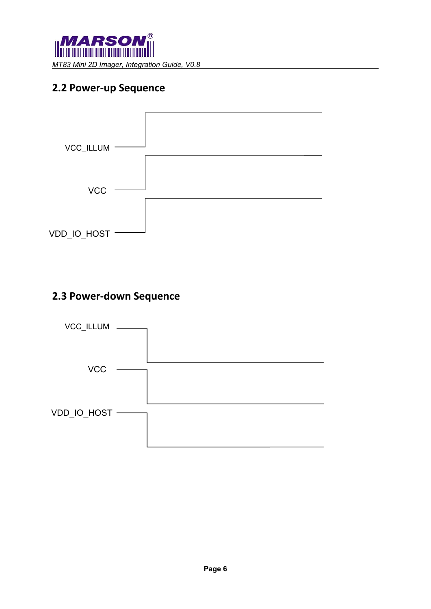

### <span id="page-6-0"></span>**2.2 Power-up Sequence**



#### <span id="page-6-1"></span>**2.3 Power-down Sequence**

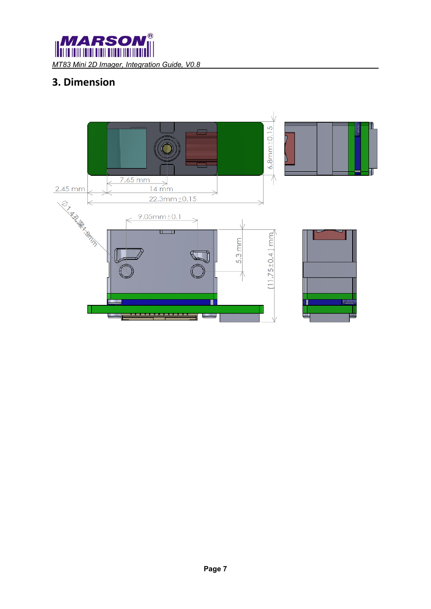**MARSO**  $^{\circledR}$ *MT83 Mini 2D Imager, Integration Guide, V0.8* 

# <span id="page-7-0"></span>**3. Dimension**

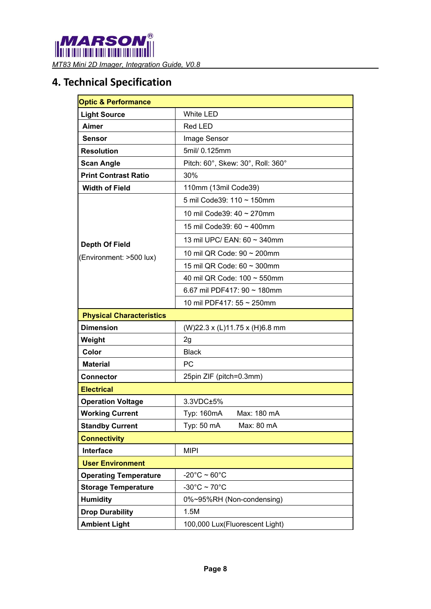

## <span id="page-8-0"></span>**4. Technical Specification**

| <b>Optic &amp; Performance</b>  |                                   |  |  |
|---------------------------------|-----------------------------------|--|--|
| <b>Light Source</b>             | <b>White LED</b>                  |  |  |
| Aimer                           | Red LED                           |  |  |
| <b>Sensor</b>                   | Image Sensor                      |  |  |
| <b>Resolution</b>               | 5mil/ 0.125mm                     |  |  |
| <b>Scan Angle</b>               | Pitch: 60°, Skew: 30°, Roll: 360° |  |  |
| <b>Print Contrast Ratio</b>     | 30%                               |  |  |
| <b>Width of Field</b>           | 110mm (13mil Code39)              |  |  |
|                                 | 5 mil Code39: 110 ~ 150mm         |  |  |
|                                 | 10 mil Code39: 40 ~ 270mm         |  |  |
|                                 | 15 mil Code39: 60 ~ 400mm         |  |  |
| <b>Depth Of Field</b>           | 13 mil UPC/ EAN: 60 ~ 340mm       |  |  |
| (Environment: >500 lux)         | 10 mil QR Code: 90 ~ 200mm        |  |  |
|                                 | 15 mil QR Code: 60 ~ 300mm        |  |  |
|                                 | 40 mil QR Code: 100 ~ 550mm       |  |  |
|                                 | 6.67 mil PDF417: 90 $\sim$ 180mm  |  |  |
|                                 | 10 mil PDF417: 55 ~ 250mm         |  |  |
| <b>Physical Characteristics</b> |                                   |  |  |
| <b>Dimension</b>                | (W)22.3 x (L)11.75 x (H)6.8 mm    |  |  |
| Weight                          | 2g                                |  |  |
| Color                           | <b>Black</b>                      |  |  |
| <b>Material</b>                 | <b>PC</b>                         |  |  |
| <b>Connector</b>                | 25pin ZIF (pitch=0.3mm)           |  |  |
| <b>Electrical</b>               |                                   |  |  |
| <b>Operation Voltage</b>        | 3.3VDC±5%                         |  |  |
| <b>Working Current</b>          | Typ: 160mA<br>Max: 180 mA         |  |  |
| <b>Standby Current</b>          | Typ: 50 mA<br>Max: 80 mA          |  |  |
| <b>Connectivity</b>             |                                   |  |  |
| Interface                       | <b>MIPI</b>                       |  |  |
| <b>User Environment</b>         |                                   |  |  |
| <b>Operating Temperature</b>    | $-20^{\circ}$ C ~ 60 $^{\circ}$ C |  |  |
| <b>Storage Temperature</b>      | $-30^{\circ}$ C ~ 70 $^{\circ}$ C |  |  |
| <b>Humidity</b>                 | 0%~95%RH (Non-condensing)         |  |  |
| <b>Drop Durability</b>          | 1.5M                              |  |  |
| <b>Ambient Light</b>            | 100,000 Lux(Fluorescent Light)    |  |  |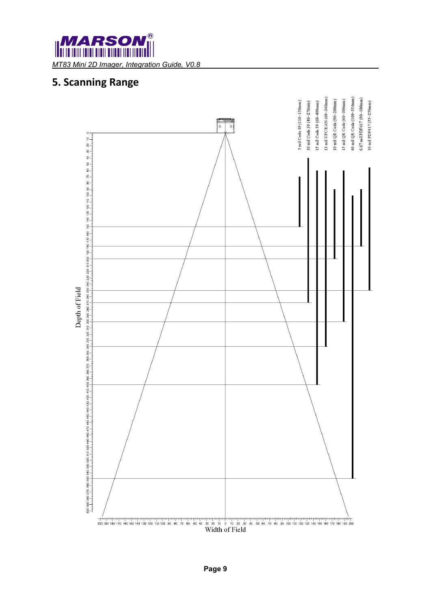## <span id="page-9-0"></span>**5. Scanning Range**

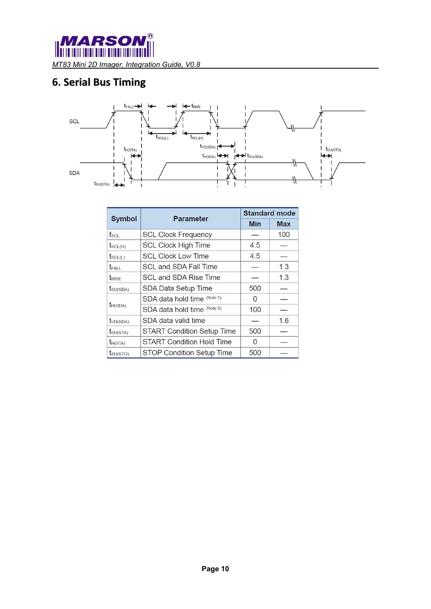$^{\circledR}$ 

# <span id="page-10-0"></span>**6. Serial Bus Timing**



|                          | <b>Parameter</b>                  |            | <b>Standard mode</b> |
|--------------------------|-----------------------------------|------------|----------------------|
| <b>Symbol</b>            |                                   | <b>Min</b> | <b>Max</b>           |
| $f_{\rm SCI}$            | <b>SCL Clock Frequency</b>        |            | 100                  |
| $t_{SCL(H)}$             | <b>SCL Clock High Time</b>        | 4.5        |                      |
| $t_{SCL(L)}$             | <b>SCL Clock Low Time</b>         | 4.5        |                      |
| <b>t</b> FALL            | <b>SCL and SDA Fall Time</b>      |            | 1.3                  |
| <b>t</b> <sub>RISF</sub> | SCL and SDA Rise Time             |            | 1.3                  |
| $t$ <sub>SU(SDA)</sub>   | SDA Data Setup Time               | 500        |                      |
|                          | SDA data hold time (Note 5)       | $\Omega$   |                      |
| $t_{H(SDA)}$             | SDA data hold time (Note 6)       | 100        |                      |
| t <sub>VD(SDA)</sub>     | SDA data valid time               |            | 1.6                  |
| $t_{\text{SU(STA)}}$     | <b>START Condition Setup Time</b> | 500        |                      |
| $t_{H(STA)}$             | <b>START Condition Hold Time</b>  | O          |                      |
| $t_{\text{SU(STO)}}$     | STOP Condition Setup Time         | 500        |                      |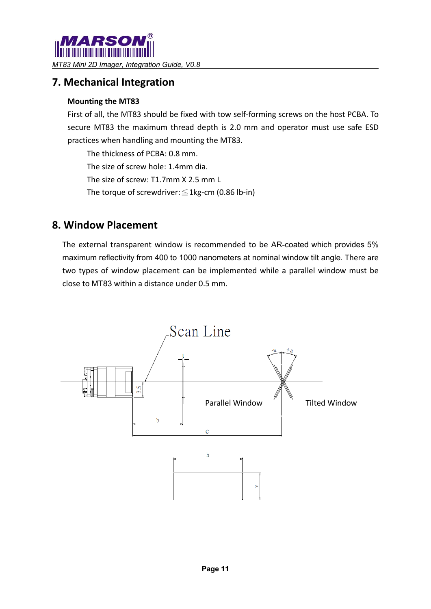### <span id="page-11-0"></span>**7. Mechanical Integration**

#### **Mounting the MT83**

First of all, the MT83 should be fixed with tow self-forming screws on the host PCBA. To secure MT83 the maximum thread depth is 2.0 mm and operator must use safe ESD practices when handling and mounting the MT83.

The thickness of PCBA: 0.8 mm.

The size of screw hole: 1.4mm dia.

The size of screw: T1.7mm X 2.5 mm L

The torque of screwdriver:  $\leq$  1kg-cm (0.86 lb-in)

#### <span id="page-11-1"></span>**8. Window Placement**

The external transparent window is recommended to be AR-coated which provides 5% maximum reflectivity from 400 to 1000 nanometers at nominal window tilt angle. There are two types of window placement can be implemented while a parallel window must be close to MT83 within a distance under 0.5 mm.